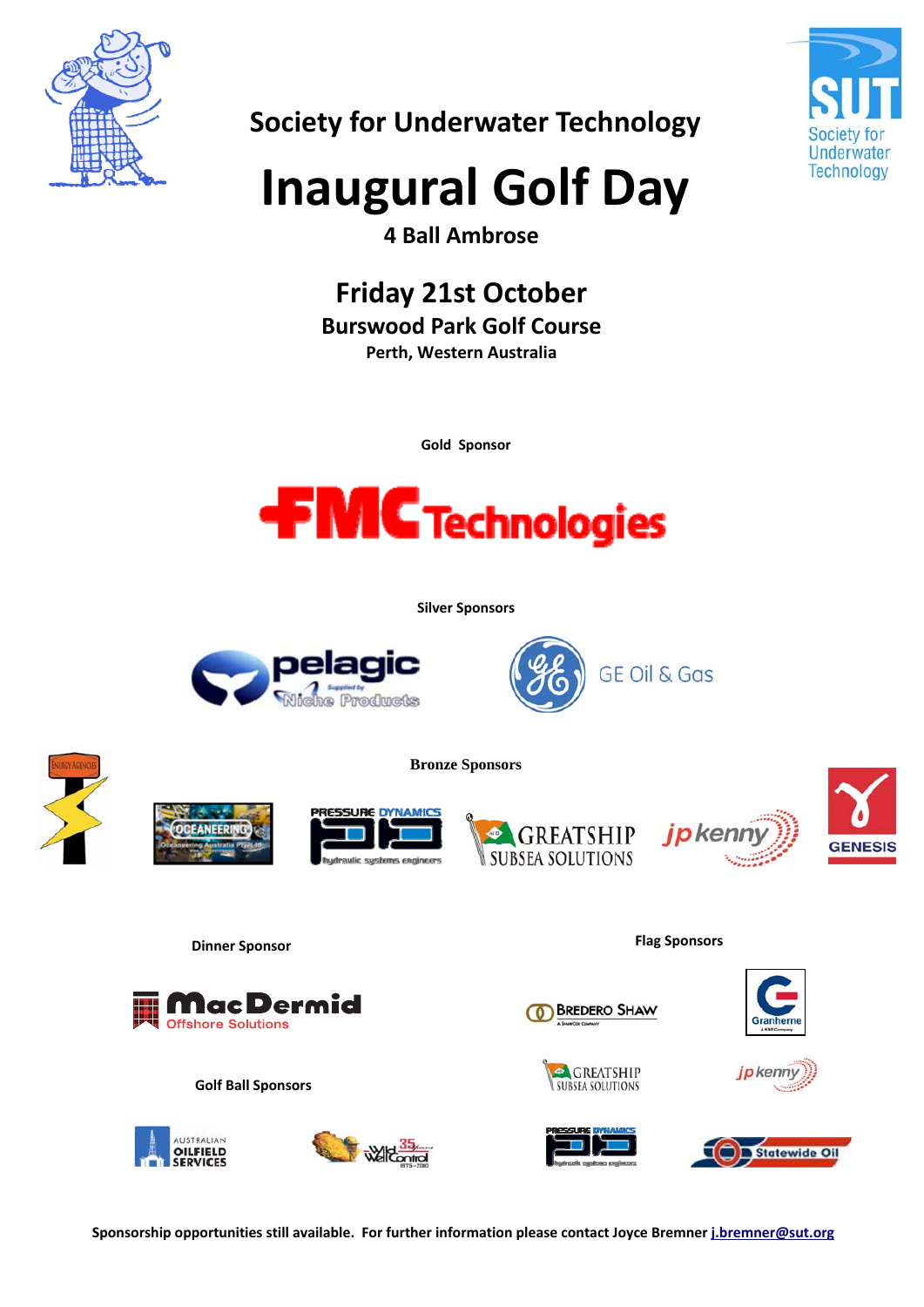

Underwater Technology

## **Society for Underwater Technology**

## **Inaugural Golf Day**

**4 Ball Ambrose** 

## **Friday 21st October**

**Burswood Park Golf Course** 

**Perth, Western Australia**

**Gold Sponsor**



**Silver Sponsors**

**Bronze Sponsors** 

















**Dinner Sponsor Flag Sponsors**



















**Sponsorship opportunities still available. For further information please contact Joyce Bremner j.bremner@sut.org**